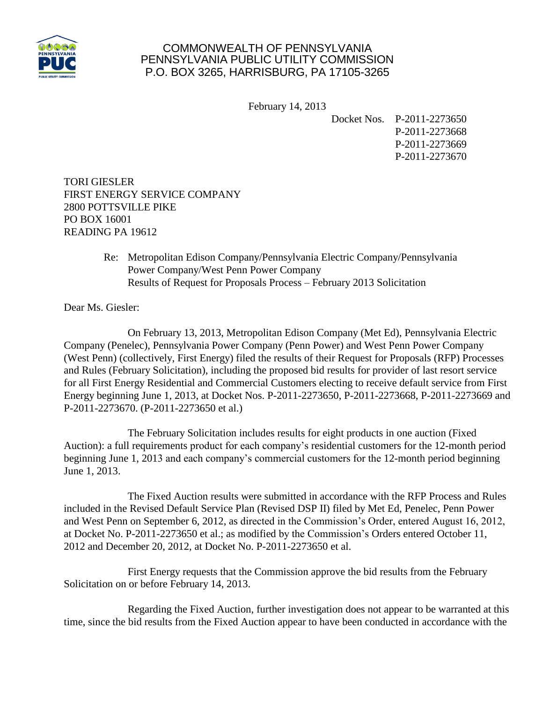

## COMMONWEALTH OF PENNSYLVANIA PENNSYLVANIA PUBLIC UTILITY COMMISSION P.O. BOX 3265, HARRISBURG, PA 17105-3265

February 14, 2013

Docket Nos. P-2011-2273650 P-2011-2273668 P-2011-2273669 P-2011-2273670

TORI GIESLER FIRST ENERGY SERVICE COMPANY 2800 POTTSVILLE PIKE PO BOX 16001 READING PA 19612

> Re: Metropolitan Edison Company/Pennsylvania Electric Company/Pennsylvania Power Company/West Penn Power Company Results of Request for Proposals Process – February 2013 Solicitation

Dear Ms. Giesler:

On February 13, 2013, Metropolitan Edison Company (Met Ed), Pennsylvania Electric Company (Penelec), Pennsylvania Power Company (Penn Power) and West Penn Power Company (West Penn) (collectively, First Energy) filed the results of their Request for Proposals (RFP) Processes and Rules (February Solicitation), including the proposed bid results for provider of last resort service for all First Energy Residential and Commercial Customers electing to receive default service from First Energy beginning June 1, 2013, at Docket Nos. P-2011-2273650, P-2011-2273668, P-2011-2273669 and P-2011-2273670. (P-2011-2273650 et al.)

The February Solicitation includes results for eight products in one auction (Fixed Auction): a full requirements product for each company's residential customers for the 12-month period beginning June 1, 2013 and each company's commercial customers for the 12-month period beginning June 1, 2013.

The Fixed Auction results were submitted in accordance with the RFP Process and Rules included in the Revised Default Service Plan (Revised DSP II) filed by Met Ed, Penelec, Penn Power and West Penn on September 6, 2012, as directed in the Commission's Order, entered August 16, 2012, at Docket No. P-2011-2273650 et al.; as modified by the Commission's Orders entered October 11, 2012 and December 20, 2012, at Docket No. P-2011-2273650 et al.

First Energy requests that the Commission approve the bid results from the February Solicitation on or before February 14, 2013.

Regarding the Fixed Auction, further investigation does not appear to be warranted at this time, since the bid results from the Fixed Auction appear to have been conducted in accordance with the